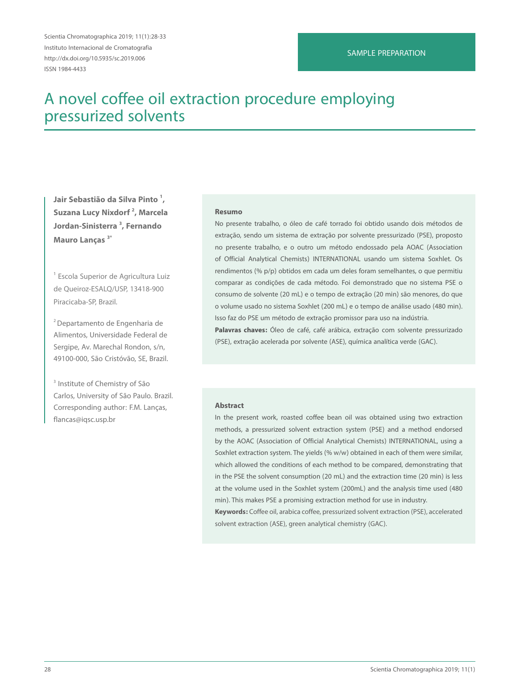Scientia Chromatographica 2019; 11(1):28-33 Instituto Internacional de Cromatografia http://dx.doi.org/10.5935/sc.2019.006 ISSN 1984-4433

# SAMPLE PREPARATION

# A novel coffee oil extraction procedure employing pressurized solvents

**Jair Sebastião da Silva Pinto 1 , Suzana Lucy Nixdorf 2 , Marcela Jordan-Sinisterra 3 , Fernando Mauro Lanças 3\***

<sup>1</sup> Escola Superior de Agricultura Luiz de Queiroz-ESALQ/USP, 13418-900 Piracicaba-SP, Brazil.

2 Departamento de Engenharia de Alimentos, Universidade Federal de Sergipe, Av. Marechal Rondon, s/n, 49100-000, São Cristóvão, SE, Brazil.

<sup>3</sup> Institute of Chemistry of São Carlos, University of São Paulo. Brazil. Corresponding author: F.M. Lanças, flancas@iqsc.usp.br

#### **Resumo**

No presente trabalho, o óleo de café torrado foi obtido usando dois métodos de extração, sendo um sistema de extração por solvente pressurizado (PSE), proposto no presente trabalho, e o outro um método endossado pela AOAC (Association of Official Analytical Chemists) INTERNATIONAL usando um sistema Soxhlet. Os rendimentos (% p/p) obtidos em cada um deles foram semelhantes, o que permitiu comparar as condições de cada método. Foi demonstrado que no sistema PSE o consumo de solvente (20 mL) e o tempo de extração (20 min) são menores, do que o volume usado no sistema Soxhlet (200 mL) e o tempo de análise usado (480 min). Isso faz do PSE um método de extração promissor para uso na indústria.

**Palavras chaves:** Óleo de café, café arábica, extração com solvente pressurizado (PSE), extração acelerada por solvente (ASE), química analítica verde (GAC).

#### **Abstract**

In the present work, roasted coffee bean oil was obtained using two extraction methods, a pressurized solvent extraction system (PSE) and a method endorsed by the AOAC (Association of Official Analytical Chemists) INTERNATIONAL, using a Soxhlet extraction system. The yields (% w/w) obtained in each of them were similar, which allowed the conditions of each method to be compared, demonstrating that in the PSE the solvent consumption (20 mL) and the extraction time (20 min) is less at the volume used in the Soxhlet system (200mL) and the analysis time used (480 min). This makes PSE a promising extraction method for use in industry.

**Keywords:** Coffee oil, arabica coffee, pressurized solvent extraction (PSE), accelerated solvent extraction (ASE), green analytical chemistry (GAC).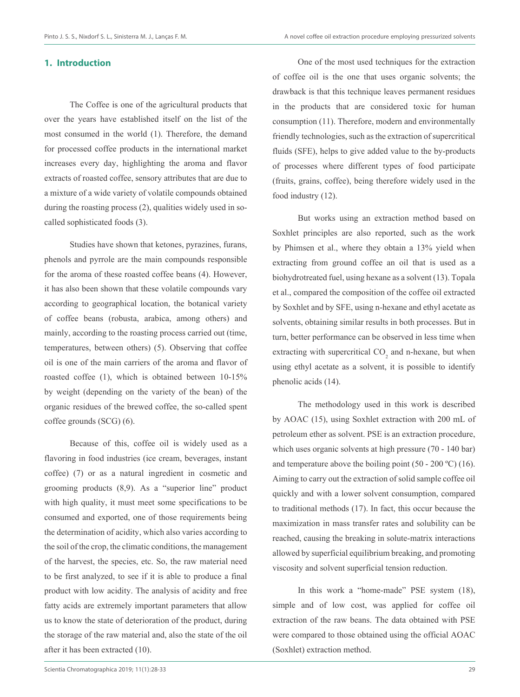# **1. Introduction**

The Coffee is one of the agricultural products that over the years have established itself on the list of the most consumed in the world (1). Therefore, the demand for processed coffee products in the international market increases every day, highlighting the aroma and flavor extracts of roasted coffee, sensory attributes that are due to a mixture of a wide variety of volatile compounds obtained during the roasting process (2), qualities widely used in socalled sophisticated foods (3).

Studies have shown that ketones, pyrazines, furans, phenols and pyrrole are the main compounds responsible for the aroma of these roasted coffee beans (4). However, it has also been shown that these volatile compounds vary according to geographical location, the botanical variety of coffee beans (robusta, arabica, among others) and mainly, according to the roasting process carried out (time, temperatures, between others) (5). Observing that coffee oil is one of the main carriers of the aroma and flavor of roasted coffee (1), which is obtained between 10-15% by weight (depending on the variety of the bean) of the organic residues of the brewed coffee, the so-called spent coffee grounds (SCG) (6).

Because of this, coffee oil is widely used as a flavoring in food industries (ice cream, beverages, instant coffee) (7) or as a natural ingredient in cosmetic and grooming products (8,9). As a "superior line" product with high quality, it must meet some specifications to be consumed and exported, one of those requirements being the determination of acidity, which also varies according to the soil of the crop, the climatic conditions, the management of the harvest, the species, etc. So, the raw material need to be first analyzed, to see if it is able to produce a final product with low acidity. The analysis of acidity and free fatty acids are extremely important parameters that allow us to know the state of deterioration of the product, during the storage of the raw material and, also the state of the oil after it has been extracted (10).

One of the most used techniques for the extraction of coffee oil is the one that uses organic solvents; the drawback is that this technique leaves permanent residues in the products that are considered toxic for human consumption (11). Therefore, modern and environmentally friendly technologies, such as the extraction of supercritical fluids (SFE), helps to give added value to the by-products of processes where different types of food participate (fruits, grains, coffee), being therefore widely used in the food industry (12).

But works using an extraction method based on Soxhlet principles are also reported, such as the work by Phimsen et al., where they obtain a 13% yield when extracting from ground coffee an oil that is used as a biohydrotreated fuel, using hexane as a solvent (13). Topala et al., compared the composition of the coffee oil extracted by Soxhlet and by SFE, using n-hexane and ethyl acetate as solvents, obtaining similar results in both processes. But in turn, better performance can be observed in less time when extracting with supercritical  $CO_2$  and n-hexane, but when using ethyl acetate as a solvent, it is possible to identify phenolic acids (14).

The methodology used in this work is described by AOAC (15), using Soxhlet extraction with 200 mL of petroleum ether as solvent. PSE is an extraction procedure, which uses organic solvents at high pressure (70 - 140 bar) and temperature above the boiling point  $(50 - 200 \degree C)$  (16). Aiming to carry out the extraction of solid sample coffee oil quickly and with a lower solvent consumption, compared to traditional methods (17). In fact, this occur because the maximization in mass transfer rates and solubility can be reached, causing the breaking in solute-matrix interactions allowed by superficial equilibrium breaking, and promoting viscosity and solvent superficial tension reduction.

In this work a "home-made" PSE system (18), simple and of low cost, was applied for coffee oil extraction of the raw beans. The data obtained with PSE were compared to those obtained using the official AOAC (Soxhlet) extraction method.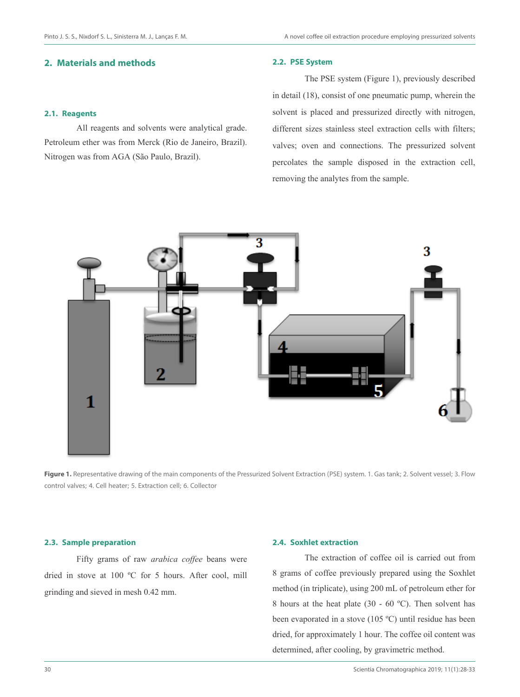# **2. Materials and methods**

# **2.1. Reagents**

All reagents and solvents were analytical grade. Petroleum ether was from Merck (Rio de Janeiro, Brazil). Nitrogen was from AGA (São Paulo, Brazil).

### **2.2. PSE System**

The PSE system (Figure 1), previously described in detail (18), consist of one pneumatic pump, wherein the solvent is placed and pressurized directly with nitrogen, different sizes stainless steel extraction cells with filters; valves; oven and connections. The pressurized solvent percolates the sample disposed in the extraction cell, removing the analytes from the sample.



Figure 1. Representative drawing of the main components of the Pressurized Solvent Extraction (PSE) system. 1. Gas tank; 2. Solvent vessel; 3. Flow control valves; 4. Cell heater; 5. Extraction cell; 6. Collector

## **2.3. Sample preparation**

Fifty grams of raw *arabica coffee* beans were dried in stove at 100 ºC for 5 hours. After cool, mill grinding and sieved in mesh 0.42 mm.

# **2.4. Soxhlet extraction**

The extraction of coffee oil is carried out from 8 grams of coffee previously prepared using the Soxhlet method (in triplicate), using 200 mL of petroleum ether for 8 hours at the heat plate (30 - 60 ºC). Then solvent has been evaporated in a stove (105 ºC) until residue has been dried, for approximately 1 hour. The coffee oil content was determined, after cooling, by gravimetric method.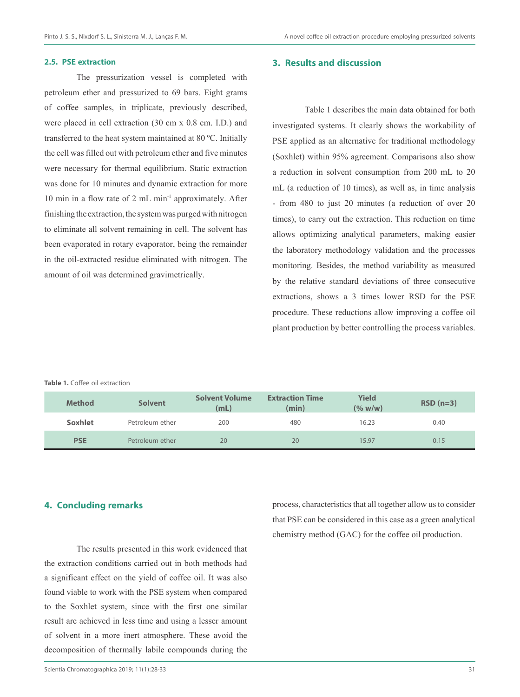### **2.5. PSE extraction**

The pressurization vessel is completed with petroleum ether and pressurized to 69 bars. Eight grams of coffee samples, in triplicate, previously described, were placed in cell extraction (30 cm x 0.8 cm. I.D.) and transferred to the heat system maintained at 80 ºC. Initially the cell was filled out with petroleum ether and five minutes were necessary for thermal equilibrium. Static extraction was done for 10 minutes and dynamic extraction for more 10 min in a flow rate of 2 mL min-1 approximately. After finishing the extraction, the system was purged with nitrogen to eliminate all solvent remaining in cell. The solvent has been evaporated in rotary evaporator, being the remainder in the oil-extracted residue eliminated with nitrogen. The amount of oil was determined gravimetrically.

### **3. Results and discussion**

Table 1 describes the main data obtained for both investigated systems. It clearly shows the workability of PSE applied as an alternative for traditional methodology (Soxhlet) within 95% agreement. Comparisons also show a reduction in solvent consumption from 200 mL to 20 mL (a reduction of 10 times), as well as, in time analysis - from 480 to just 20 minutes (a reduction of over 20 times), to carry out the extraction. This reduction on time allows optimizing analytical parameters, making easier the laboratory methodology validation and the processes monitoring. Besides, the method variability as measured by the relative standard deviations of three consecutive extractions, shows a 3 times lower RSD for the PSE procedure. These reductions allow improving a coffee oil plant production by better controlling the process variables.

#### **Table 1.** Coffee oil extraction

| <b>Method</b>  | <b>Solvent</b>  | <b>Solvent Volume</b><br>(mL) | <b>Extraction Time</b><br>(min) | <b>Yield</b><br>(% w/w) | $RSD(n=3)$ |
|----------------|-----------------|-------------------------------|---------------------------------|-------------------------|------------|
| <b>Soxhlet</b> | Petroleum ether | 200                           | 480                             | 16.23                   | 0.40       |
| <b>PSE</b>     | Petroleum ether | 20                            | 20                              | 15.97                   | 0.15       |

# **4. Concluding remarks**

The results presented in this work evidenced that the extraction conditions carried out in both methods had a significant effect on the yield of coffee oil. It was also found viable to work with the PSE system when compared to the Soxhlet system, since with the first one similar result are achieved in less time and using a lesser amount of solvent in a more inert atmosphere. These avoid the decomposition of thermally labile compounds during the that PSE can be considered in this case as a green analytical chemistry method (GAC) for the coffee oil production.

process, characteristics that all together allow us to consider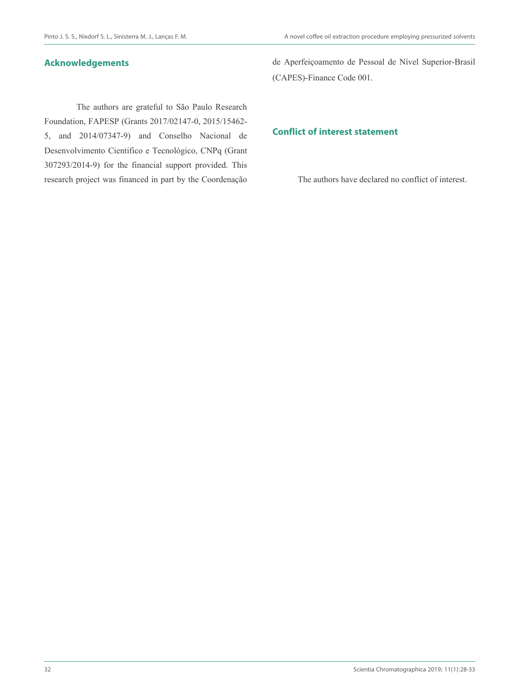# **Acknowledgements**

The authors are grateful to São Paulo Research Foundation, FAPESP (Grants 2017/02147-0, 2015/15462- 5, and 2014/07347-9) and Conselho Nacional de Desenvolvimento Cientifico e Tecnológico, CNPq (Grant 307293/2014-9) for the financial support provided. This research project was financed in part by the Coordenação

de Aperfeiçoamento de Pessoal de Nível Superior-Brasil (CAPES)-Finance Code 001.

# **Conflict of interest statement**

The authors have declared no conflict of interest.